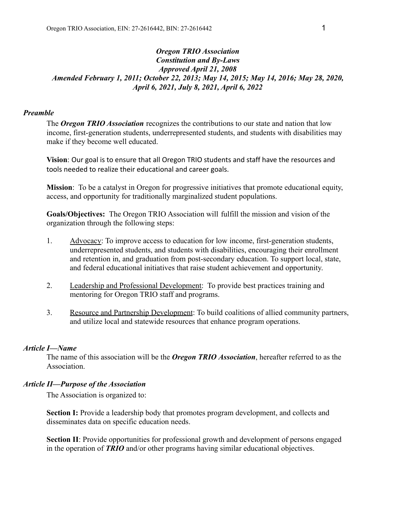## *Oregon TRIO Association Constitution and By-Laws Approved April 21, 2008 Amended February 1, 2011; October 22, 2013; May 14, 2015; May 14, 2016; May 28, 2020, April 6, 2021, July 8, 2021, April 6, 2022*

## *Preamble*

The *Oregon TRIO Association* recognizes the contributions to our state and nation that low income, first-generation students, underrepresented students, and students with disabilities may make if they become well educated.

**Vision**: Our goal is to ensure that all Oregon TRIO students and staff have the resources and tools needed to realize their educational and career goals.

**Mission**: To be a catalyst in Oregon for progressive initiatives that promote educational equity, access, and opportunity for traditionally marginalized student populations.

**Goals/Objectives:** The Oregon TRIO Association will fulfill the mission and vision of the organization through the following steps:

- 1. Advocacy: To improve access to education for low income, first-generation students, underrepresented students, and students with disabilities, encouraging their enrollment and retention in, and graduation from post-secondary education. To support local, state, and federal educational initiatives that raise student achievement and opportunity.
- 2. Leadership and Professional Development: To provide best practices training and mentoring for Oregon TRIO staff and programs.
- 3. Resource and Partnership Development: To build coalitions of allied community partners, and utilize local and statewide resources that enhance program operations.

#### *Article I—Name*

The name of this association will be the *Oregon TRIO Association*, hereafter referred to as the **Association** 

#### *Article II—Purpose of the Association*

The Association is organized to:

**Section I:** Provide a leadership body that promotes program development, and collects and disseminates data on specific education needs.

**Section II**: Provide opportunities for professional growth and development of persons engaged in the operation of *TRIO* and/or other programs having similar educational objectives.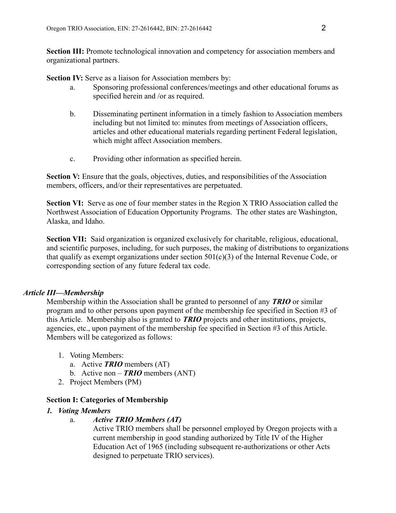**Section III:** Promote technological innovation and competency for association members and organizational partners.

**Section IV:** Serve as a liaison for Association members by:

- a. Sponsoring professional conferences/meetings and other educational forums as specified herein and /or as required.
- b. Disseminating pertinent information in a timely fashion to Association members including but not limited to: minutes from meetings of Association officers, articles and other educational materials regarding pertinent Federal legislation, which might affect Association members.
- c. Providing other information as specified herein.

**Section V:** Ensure that the goals, objectives, duties, and responsibilities of the Association members, officers, and/or their representatives are perpetuated.

**Section VI:** Serve as one of four member states in the Region X TRIO Association called the Northwest Association of Education Opportunity Programs. The other states are Washington, Alaska, and Idaho.

**Section VII:** Said organization is organized exclusively for charitable, religious, educational, and scientific purposes, including, for such purposes, the making of distributions to organizations that qualify as exempt organizations under section 501(c)(3) of the Internal Revenue Code, or corresponding section of any future federal tax code.

## *Article III—Membership*

Membership within the Association shall be granted to personnel of any *TRIO* or similar program and to other persons upon payment of the membership fee specified in Section #3 of this Article. Membership also is granted to *TRIO* projects and other institutions, projects, agencies, etc., upon payment of the membership fee specified in Section #3 of this Article. Members will be categorized as follows:

- 1. Voting Members:
	- a. Active *TRIO* members (AT)
	- b. Active non *TRIO* members (ANT)
- 2. Project Members (PM)

## **Section I: Categories of Membership**

## *1. Voting Members*

## a. *Active TRIO Members (AT)*

Active TRIO members shall be personnel employed by Oregon projects with a current membership in good standing authorized by Title IV of the Higher Education Act of 1965 (including subsequent re-authorizations or other Acts designed to perpetuate TRIO services).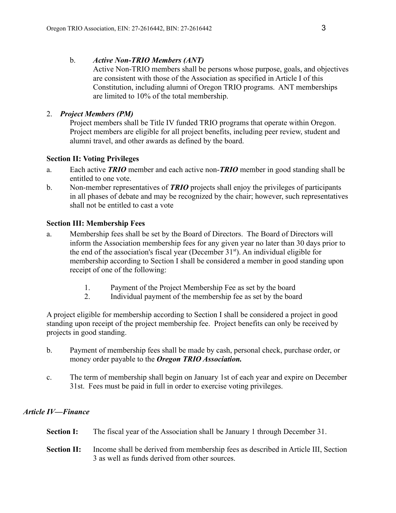# b. *Active Non-TRIO Members (ANT)*

Active Non-TRIO members shall be persons whose purpose, goals, and objectives are consistent with those of the Association as specified in Article I of this Constitution, including alumni of Oregon TRIO programs. ANT memberships are limited to 10% of the total membership.

# 2. *Project Members (PM)*

Project members shall be Title IV funded TRIO programs that operate within Oregon. Project members are eligible for all project benefits, including peer review, student and alumni travel, and other awards as defined by the board.

# **Section II: Voting Privileges**

- a. Each active *TRIO* member and each active non-*TRIO* member in good standing shall be entitled to one vote.
- b. Non-member representatives of *TRIO* projects shall enjoy the privileges of participants in all phases of debate and may be recognized by the chair; however, such representatives shall not be entitled to cast a vote

# **Section III: Membership Fees**

- a. Membership fees shall be set by the Board of Directors. The Board of Directors will inform the Association membership fees for any given year no later than 30 days prior to the end of the association's fiscal year (December 31<sup>st</sup>). An individual eligible for membership according to Section I shall be considered a member in good standing upon receipt of one of the following:
	- 1. Payment of the Project Membership Fee as set by the board
	- 2. Individual payment of the membership fee as set by the board

A project eligible for membership according to Section I shall be considered a project in good standing upon receipt of the project membership fee. Project benefits can only be received by projects in good standing.

- b. Payment of membership fees shall be made by cash, personal check, purchase order, or money order payable to the *Oregon TRIO Association.*
- c. The term of membership shall begin on January 1st of each year and expire on December 31st. Fees must be paid in full in order to exercise voting privileges.

# *Article IV—Finance*

| <b>Section I:</b> | The fiscal year of the Association shall be January 1 through December 31. |
|-------------------|----------------------------------------------------------------------------|
|                   |                                                                            |

**Section II:** Income shall be derived from membership fees as described in Article III, Section 3 as well as funds derived from other sources.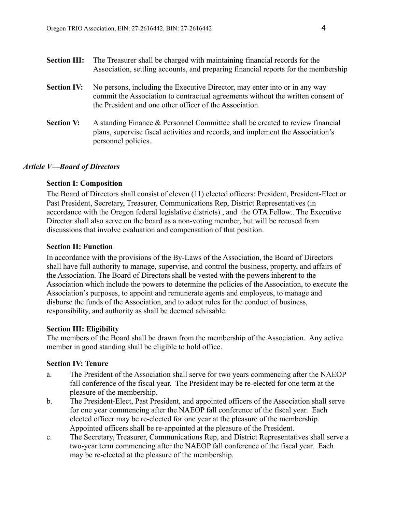- **Section III:** The Treasurer shall be charged with maintaining financial records for the Association, settling accounts, and preparing financial reports for the membership **Section IV:** No persons, including the Executive Director, may enter into or in any way commit the Association to contractual agreements without the written consent of the President and one other officer of the Association.
- **Section V:** A standing Finance & Personnel Committee shall be created to review financial plans, supervise fiscal activities and records, and implement the Association's personnel policies.

## *Article V—Board of Directors*

#### **Section I: Composition**

The Board of Directors shall consist of eleven (11) elected officers: President, President-Elect or Past President, Secretary, Treasurer, Communications Rep, District Representatives (in accordance with the Oregon federal legislative districts) , and the OTA Fellow.. The Executive Director shall also serve on the board as a non-voting member, but will be recused from discussions that involve evaluation and compensation of that position.

#### **Section II: Function**

In accordance with the provisions of the By-Laws of the Association, the Board of Directors shall have full authority to manage, supervise, and control the business, property, and affairs of the Association. The Board of Directors shall be vested with the powers inherent to the Association which include the powers to determine the policies of the Association, to execute the Association's purposes, to appoint and remunerate agents and employees, to manage and disburse the funds of the Association, and to adopt rules for the conduct of business, responsibility, and authority as shall be deemed advisable.

#### **Section III: Eligibility**

The members of the Board shall be drawn from the membership of the Association. Any active member in good standing shall be eligible to hold office.

## **Section IV: Tenure**

- a. The President of the Association shall serve for two years commencing after the NAEOP fall conference of the fiscal year. The President may be re-elected for one term at the pleasure of the membership.
- b. The President-Elect, Past President, and appointed officers of the Association shall serve for one year commencing after the NAEOP fall conference of the fiscal year. Each elected officer may be re-elected for one year at the pleasure of the membership. Appointed officers shall be re-appointed at the pleasure of the President.
- c. The Secretary, Treasurer, Communications Rep, and District Representatives shall serve a two-year term commencing after the NAEOP fall conference of the fiscal year. Each may be re-elected at the pleasure of the membership.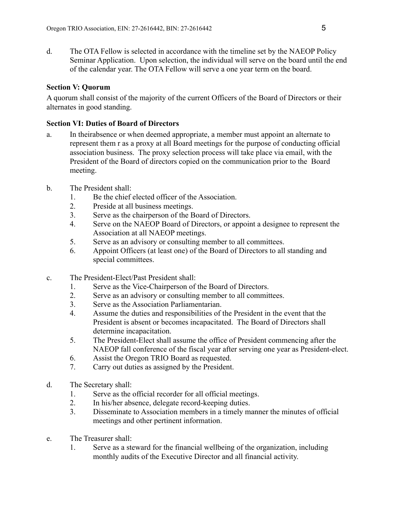d. The OTA Fellow is selected in accordance with the timeline set by the NAEOP Policy Seminar Application. Upon selection, the individual will serve on the board until the end of the calendar year. The OTA Fellow will serve a one year term on the board.

# **Section V: Quorum**

A quorum shall consist of the majority of the current Officers of the Board of Directors or their alternates in good standing.

# **Section VI: Duties of Board of Directors**

- a. In theirabsence or when deemed appropriate, a member must appoint an alternate to represent them r as a proxy at all Board meetings for the purpose of conducting official association business. The proxy selection process will take place via email, with the President of the Board of directors copied on the communication prior to the Board meeting.
- b. The President shall:
	- 1. Be the chief elected officer of the Association.
	- 2. Preside at all business meetings.
	- 3. Serve as the chairperson of the Board of Directors.
	- 4. Serve on the NAEOP Board of Directors, or appoint a designee to represent the Association at all NAEOP meetings.
	- 5. Serve as an advisory or consulting member to all committees.
	- 6. Appoint Officers (at least one) of the Board of Directors to all standing and special committees.
- c. The President-Elect/Past President shall:
	- 1. Serve as the Vice-Chairperson of the Board of Directors.
	- 2. Serve as an advisory or consulting member to all committees.
	- 3. Serve as the Association Parliamentarian.
	- 4. Assume the duties and responsibilities of the President in the event that the President is absent or becomes incapacitated. The Board of Directors shall determine incapacitation.
	- 5. The President-Elect shall assume the office of President commencing after the NAEOP fall conference of the fiscal year after serving one year as President-elect.
	- 6. Assist the Oregon TRIO Board as requested.
	- 7. Carry out duties as assigned by the President.
- d. The Secretary shall:
	- 1. Serve as the official recorder for all official meetings.
	- 2. In his/her absence, delegate record-keeping duties.
	- 3. Disseminate to Association members in a timely manner the minutes of official meetings and other pertinent information.
- e. The Treasurer shall:
	- 1. Serve as a steward for the financial wellbeing of the organization, including monthly audits of the Executive Director and all financial activity.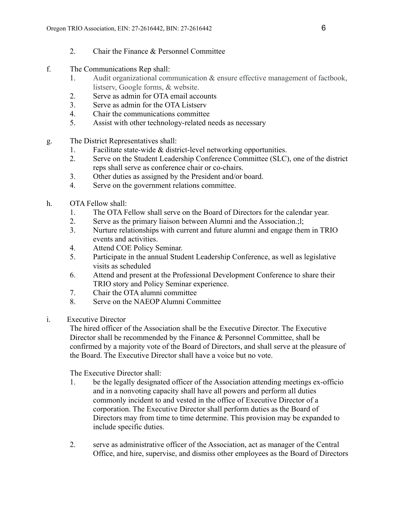- 2. Chair the Finance & Personnel Committee
- f. The Communications Rep shall:
	- 1. Audit organizational communication & ensure effective management of factbook, listserv, Google forms, & website.
	- 2. Serve as admin for OTA email accounts
	- 3. Serve as admin for the OTA Listserv
	- 4. Chair the communications committee
	- 5. Assist with other technology-related needs as necessary
- g. The District Representatives shall:
	- 1. Facilitate state-wide & district-level networking opportunities.
	- 2. Serve on the Student Leadership Conference Committee (SLC), one of the district reps shall serve as conference chair or co-chairs.
	- 3. Other duties as assigned by the President and/or board.
	- 4. Serve on the government relations committee.
- h. OTA Fellow shall:
	- 1. The OTA Fellow shall serve on the Board of Directors for the calendar year.
	- 2. Serve as the primary liaison between Alumni and the Association.;l;
	- 3. Nurture relationships with current and future alumni and engage them in TRIO events and activities.
	- 4. Attend COE Policy Seminar.
	- 5. Participate in the annual Student Leadership Conference, as well as legislative visits as scheduled
	- 6. Attend and present at the Professional Development Conference to share their TRIO story and Policy Seminar experience.
	- 7. Chair the OTA alumni committee
	- 8. Serve on the NAEOP Alumni Committee
- i. Executive Director

The hired officer of the Association shall be the Executive Director. The Executive Director shall be recommended by the Finance & Personnel Committee, shall be confirmed by a majority vote of the Board of Directors, and shall serve at the pleasure of the Board. The Executive Director shall have a voice but no vote.

The Executive Director shall:

- 1. be the legally designated officer of the Association attending meetings ex-officio and in a nonvoting capacity shall have all powers and perform all duties commonly incident to and vested in the office of Executive Director of a corporation. The Executive Director shall perform duties as the Board of Directors may from time to time determine. This provision may be expanded to include specific duties.
- 2. serve as administrative officer of the Association, act as manager of the Central Office, and hire, supervise, and dismiss other employees as the Board of Directors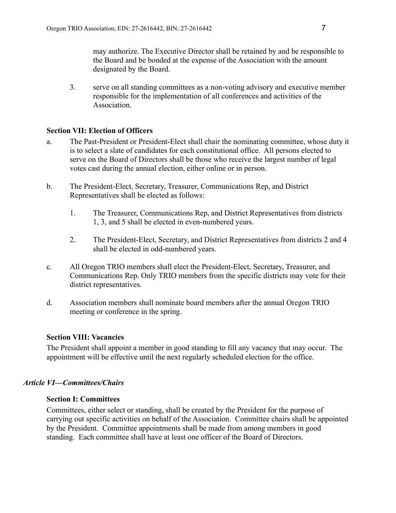may authorize. The Executive Director shall be retained by and be responsible to the Board and be bonded at the expense of the Association with the amount designated by the Board.

3. serve on all standing committees as a non-voting advisory and executive member responsible for the implementation of all conferences and activities of the **Association** 

## **Section VII: Election of Officers**

- a. The Past-President or President-Elect shall chair the nominating committee, whose duty it is to select a slate of candidates for each constitutional office. All persons elected to serve on the Board of Directors shall be those who receive the largest number of legal votes cast during the annual election, either online or in person.
- b. The President-Elect, Secretary, Treasurer, Communications Rep, and District Representatives shall be elected as follows:
	- 1. The Treasurer, Communications Rep, and District Representatives from districts 1, 3, and 5 shall be elected in even-numbered years.
	- 2. The President-Elect, Secretary, and District Representatives from districts 2 and 4 shall be elected in odd-numbered years.
- c. All Oregon TRIO members shall elect the President-Elect, Secretary, Treasurer, and Communications Rep. Only TRIO members from the specific districts may vote for their district representatives.
- d. Association members shall nominate board members after the annual Oregon TRIO meeting or conference in the spring.

## **Section VIII: Vacancies**

The President shall appoint a member in good standing to fill any vacancy that may occur. The appointment will be effective until the next regularly scheduled election for the office.

## *Article VI—Committees/Chairs*

## **Section I: Committees**

Committees, either select or standing, shall be created by the President for the purpose of carrying out specific activities on behalf of the Association. Committee chairs shall be appointed by the President. Committee appointments shall be made from among members in good standing. Each committee shall have at least one officer of the Board of Directors.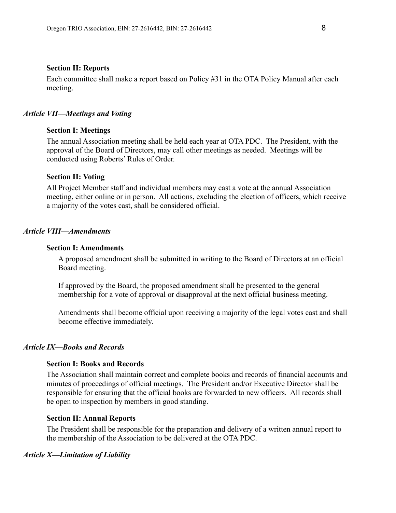#### **Section II: Reports**

Each committee shall make a report based on Policy #31 in the OTA Policy Manual after each meeting.

#### *Article VII—Meetings and Voting*

#### **Section I: Meetings**

The annual Association meeting shall be held each year at OTA PDC. The President, with the approval of the Board of Directors, may call other meetings as needed. Meetings will be conducted using Roberts' Rules of Order.

#### **Section II: Voting**

All Project Member staff and individual members may cast a vote at the annual Association meeting, either online or in person. All actions, excluding the election of officers, which receive a majority of the votes cast, shall be considered official.

#### *Article VIII—Amendments*

#### **Section I: Amendments**

A proposed amendment shall be submitted in writing to the Board of Directors at an official Board meeting.

If approved by the Board, the proposed amendment shall be presented to the general membership for a vote of approval or disapproval at the next official business meeting.

Amendments shall become official upon receiving a majority of the legal votes cast and shall become effective immediately.

# *Article IX—Books and Records*

## **Section I: Books and Records**

The Association shall maintain correct and complete books and records of financial accounts and minutes of proceedings of official meetings. The President and/or Executive Director shall be responsible for ensuring that the official books are forwarded to new officers. All records shall be open to inspection by members in good standing.

#### **Section II: Annual Reports**

The President shall be responsible for the preparation and delivery of a written annual report to the membership of the Association to be delivered at the OTA PDC.

#### *Article X—Limitation of Liability*